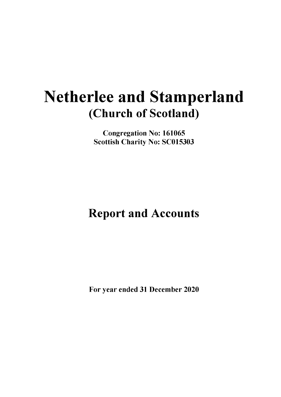# **Netherlee and Stamperland (Church of Scotland)**

**Congregation No: 161065 Scottish Charity No: SC015303**

**Report and Accounts**

**For year ended 31 December 2020**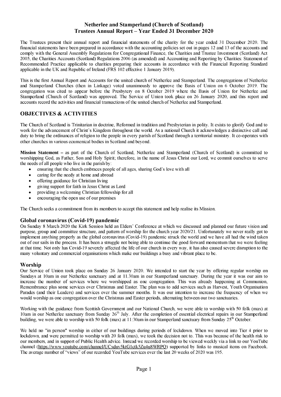The Trustees present their annual report and financial statements of the charity for the year ended 31 December 2020. The financial statements have been prepared in accordance with the accounting policies set out in pages 12 and 13 of the accounts and comply with the General Assembly Regulations for Congregational Finance, the Charities and Trustee Investment (Scotland) Act 2005, the Charities Accounts (Scotland) Regulations 2006 (as amended) and Accounting and Reporting by Charities: Statement of Recommended Practice applicable to charities preparing their accounts in accordance with the Financial Reporting Standard applicable in the UK and Republic of Ireland (FRS 102 effective 1 January 2019).

This is the first Annual Report and Accounts for the united church of Netherlee and Stamperland. The congregations of Netherlee and Stamperland Churches (then in Linkage) voted unanimously to approve the Basis of Union on 6 October 2019. The congregation was cited to appear before the Presbytery on 8 October 2019 where the Basis of Union for Netherlee and Stamperland (Church of Scotland) was approved. The Service of Union took place on 26 January 2020, and this report and accounts record the activities and financial transactions of the united church of Netherlee and Stamperland.

# **OBJECTIVES & ACTIVITIES**

The Church of Scotland is Trinitarian in doctrine, Reformed in tradition and Presbyterian in polity. It exists to glorify God and to work for the advancement of Christ's Kingdom throughout the world. As a national Church it acknowledges a distinctive call and duty to bring the ordinances of religion to the people in every parish of Scotland through a territorial ministry. It co-operates with other churches in various ecumenical bodies in Scotland and beyond.

**Mission Statement -** as part of the Church of Scotland, Netherlee and Stamperland (Church of Scotland) is committed to worshipping God, as Father, Son and Holy Spirit; therefore, in the name of Jesus Christ our Lord, we commit ourselves to serve the needs of all people who live in the parish by:

- ensuring that the church embraces people of all ages, sharing God's love with all
- caring for the needy at home and abroad
- offering guidance for Christian living
- giving support for faith in Jesus Christ as Lord
- providing a welcoming Christian fellowship for all
- encouraging the open use of our premises

The Church seeks a commitment from its members to accept this statement and help realise its Mission.

#### **Global coronavirus (Covid-19) pandemic**

On Sunday 8 March 2020 the Kirk Session held an Elders' Conference at which we discussed and planned our future vision and purpose, group and committee structure, and pattern of worship for the church year 2020/21. Unfortunately we never really got to implement anything properly as the global coronavirus (Covid-19) pandemic struck the world and we have all had the wind taken out of our sails in the process. It has been a struggle not being able to continue the good forward momentum that we were feeling at that time. Not only has Covid-19 severely affected the life of our church in every way, it has also caused severe disruption to the many voluntary and commercial organisations which make our buildings a busy and vibrant place to be.

#### **Worship**

Our Service of Union took place on Sunday 26 January 2020. We intended to start the year by offering regular worship on Sundays at 10am in our Netherlee sanctuary and at 11.30am in our Stamperland sanctuary. During the year it was our aim to increase the number of services where we worshipped as one congregation. This was already happening at Communion, Remembrance plus some services over Christmas and Easter. The plan was to add services such as Harvest, Youth Organisation Parades (and their Leaders) and services over the summer months. It was our intention to increase the frequency of when we would worship as one congregation over the Christmas and Easter periods, alternating between our two sanctuaries.

Working with the guidance from Scottish Government and our National Church, we were able to worship with 50 folk (max) at 10am in our Netherlee sanctuary from Sunday  $26<sup>th</sup>$  July. After the completion of essential electrical repairs in our Stamperland building, we were able to worship with 50 folk (max) at  $11:30$ am in our Stamperland sanctuary from Sunday  $25<sup>th</sup>$  October.

We held no "in person" worship in either of our buildings during periods of lockdown. When we moved into Tier 4 prior to lockdown, and were permitted to worship with 20 folk (max), we took the decision not to. This was because of the health risk to our members, and in support of Public Health advice. Instead we recorded worship to be viewed weekly via a link to our YouTube channel [\(https://www.youtube.com/channel/UCxduv5ktG1ctk5Zu4u8WRPQ\)](https://www.youtube.com/channel/UCxduv5ktG1ctk5Zu4u8WRPQ) supported by links to musical items on Facebook. The average number of "views" of our recorded YouTube services over the last 20 weeks of 2020 was 195.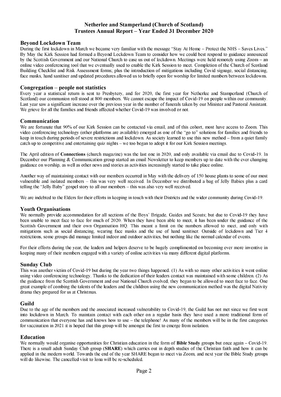#### **Beyond Lockdown Team**

During the first lockdown in March we became very familiar with the message "Stay At Home - Protect the NHS - Saves Lives." By May the Kirk Session had formed a Beyond Lockdown Team to consider how we could best respond to guidance announced by the Scottish Government and our National Church to ease us out of lockdown. Meetings were held remotely using Zoom - an online video conferencing tool that we eventually used to enable the Kirk Session to meet. Completion of the Church of Scotland Building Checklist and Risk Assessment forms; plus the introduction of mitigations including Covid signage, social distancing, face masks, hand sanitiser and updated procedures allowed us to briefly open for worship for limited numbers between lockdowns.

#### **Congregation - people not statistics**

Every year a statistical return is sent to Presbytery, and for 2020, the first year for Netherlee and Stamperland (Church of Scotland) our communion roll stood at 800 members. We cannot escape the impact of Covid-19 on people within our community. Last year saw a significant increase over the previous year in the number of funerals taken by our Minister and Pastoral Assistant. We grieve for all the families and friends affected whether Covid-19 was involved or not.

#### **Communication**

We are fortunate that 90% of our Kirk Session can be contacted via email, and of this cohort, most have access to Zoom. This video conferencing technology (other platforms are available) emerged as one of the "go to" solutions for families and friends to keep in touch during periods of severe restrictions and lockdown. As society learned to use this new method - from a quiet family catch up to competitive and entertaining quiz nights - we too began to adopt it for our Kirk Session meetings.

The April edition of **Connections** (church magazine) was the last one in 2020, and only available via email due to Covid-19. In December our Planning & Communication group started an email Newsletter to keep members up to date with the ever changing guidance on worship, as well as other news and stories as activities increasingly started to take place online.

Another way of maintaining contact with our members occurred in May with the delivery of 150 house plants to some of our most vulnerable and isolated members - this was very well received. In December we distributed a bag of Jelly Babies plus a card telling the "Jelly Baby" gospel story to all our members - this was also very well received.

We are indebted to the Elders for their efforts in keeping in touch with their Districts and the wider community during Covid-19.

#### **Youth Organisations**

We normally provide accommodation for all sections of the Boys' Brigade, Guides and Scouts; but due to Covid-19 they have been unable to meet face to face for much of 2020. When they have been able to meet, it has been under the guidance of the Scottish Government and their own Organisation HQ. This meant a limit on the numbers allowed to meet, and only with mitigations such as social distancing, wearing face masks and the use of hand sanitiser. Outside of lockdown and Tier 4 restrictions, some groups did manage limited indoor and outdoor activities, but nothing like the normal calendar of events.

For their efforts during the year, the leaders and helpers deserve to be hugely complimented on becoming ever more inventive in keeping many of their members engaged with a variety of online activities via many different digital platforms.

#### **Sunday Club**

This was another victim of Covid-19 but during the year two things happened. (1) As with so many other activities it went online using video conferencing technology. Thanks to the dedication of their leaders contact was maintained with some children. (2) As the guidance from the Scottish Government and our National Church evolved, they began to be allowed to meet face to face. One great example of combing the talents of the leaders and the children using the new communication method was the digital Nativity drama they prepared for us at Christmas.

#### **Guild**

Due to the age of the members and the associated increased vulnerability to Covid-19, the Guild has not met since we first went into lockdown in March. To maintain contact with each other on a regular basis they have used a more traditional form of communication that everyone has and knows how to use - the telephone! As many of the members will be in the first categories for vaccination in 2021 it is hoped that this group will be amongst the first to emerge from isolation.

#### **Education**

We normally would organise opportunities for Christian education in the form of **Bible Study** groups but once again - Covid-19. There is a small adult Sunday Club group (**SHARE**) which carries out in depth studies of the Christian faith and how it can be applied in the modern world. Towards the end of the year SHARE began to meet via Zoom, and next year the Bible Study groups will do likewise. The cancelled visit to Iona will be re-scheduled.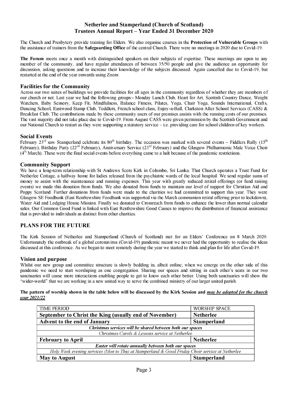The Church and Presbytery provide training for Elders. We also organise courses in the **Protection of Vulnerable Groups** with the assistance of trainers from the **Safeguarding Office** of the central Church. There were no meetings in 2020 due to Covid-19.

**The Forum** meets once a month with distinguished speakers on their subjects of expertise. These meetings are open to any member of the community, and have regular attendances of between 35/50 people and give the audience an opportunity for discussion, asking questions and to increase their knowledge of the subjects discussed. Again cancelled due to Covid-19, but restarted at the end of the year onwards using Zoom

#### **Facilities for the Community**

Across our two suites of buildings we provide facilities for all ages in the community regardless of whether they are members of our church or not. Last year we had the following groups:- Monday Lunch Club, Heart for Art, Scottish Country Dance, Weight Watchers, Baby Sensory, Keep Fit, Mindfulness, Balance Fitness, Pilates, Yoga, Chair Yoga, Sounds International, Crafts, Dancing School, Eastwood Stamp Club, Toddlers, French school class, Enjoy-a-Ball, Clarkston After School Services (CASS) & Breakfast Club. The contributions made by these community users of our premises assists with the running costs of our premises. The vast majority did not take place due to Covid-19. From August CASS were given permission by the Scottish Government and our National Church to restart as they were supporting a statutory service - i.e. providing care for school children of key workers.

#### **Social Events**

February 23<sup>rd</sup> saw Stamperland celebrate its 80<sup>th</sup> birthday. The occasion was marked with several events – Fiddlers Rally (15<sup>th</sup>) February), Birthday Party (22<sup>nd</sup> February), Anniversary Service (23<sup>rd</sup> February) and the Glasgow Philharmonic Male Voice Choir  $(4<sup>th</sup> March)$ . These were the final social events before everything came to a halt because of the pandemic restrictions.

#### **Community Support**

We have a long-term relationship with St Andrews Scots Kirk in Colombo, Sri Lanka. That Church operates a Trust Fund for Netherlee Cottage, a halfway home for ladies released from the psychiatric wards of the local hospital. We send regular sums of money to assist with the maintenance and running expenses. This year with greatly reduced retiral offerings (or fund raising events) we made this donation from funds. We also donated from funds to maintain our level of support for Christian Aid and Poppy Scotland. Further donations from funds were made to the charities we had committed to support this year. They were Glasgow SE Foodbank (East Renfrewshire Foodbank was supported via the March communion retiral offering prior to lockdown), Water Aid and Lodging House Mission. Finally we donated to Crossreach from funds to enhance the lower than normal calendar sales. Our Common Good Fund is linked with East Renfrewshire Good Causes to improve the distribution of financial assistance that is provided to individuals as distinct from other charities.

#### **PLANS FOR THE FUTURE**

The Kirk Session of Netherlee and Stamperland (Church of Scotland) met for an Elders' Conference on 8 March 2020. Unfortunately the outbreak of a global coronavirus (Covid-19) pandemic meant we never had the opportunity to realise the ideas discussed at this conference. As we began to meet remotely during the year we started to think and plan for life after Covid-19.

#### **Vision and purpose**

Whilst our new group and committee structure is slowly bedding in, albeit online; when we emerge on the other side of this pandemic we need to start worshiping as one congregation. Sharing our spaces and sitting in each other's seats in our two sanctuaries will cause more interactions enabling people to get to know each other better. Using both sanctuaries will show the "wider-world" that we are working in a new united way to serve the combined ministry of our larger united parish.

#### **The pattern of worship shown in the table below will be discussed by the Kirk Session and** *may be adopted for the church year 2021/22*

| <b>TIME PERIOD</b>                                                                              | <b>WORSHIP SPACE</b> |  |  |  |
|-------------------------------------------------------------------------------------------------|----------------------|--|--|--|
| September to Christ the King (usually end of November)                                          | <b>Netherlee</b>     |  |  |  |
| <b>Advent to the end of January</b>                                                             | <b>Stamperland</b>   |  |  |  |
| Christmas services will be shared between both our spaces                                       |                      |  |  |  |
| Christmas Carols & Lessons service at Netherlee                                                 |                      |  |  |  |
| <b>February to April</b>                                                                        | <b>Netherlee</b>     |  |  |  |
| Easter will rotate annually between both our spaces                                             |                      |  |  |  |
| Holy Week evening services (Mon to Thu) at Stamperland & Good Friday Choir service at Netherlee |                      |  |  |  |
| <b>May to August</b>                                                                            | <b>Stamperland</b>   |  |  |  |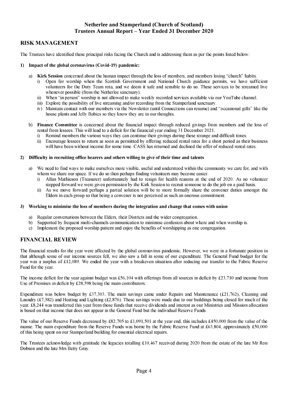# **RISK MANAGEMENT**

The Trustees have identified these principal risks facing the Church and is addressing them as per the points listed below:

#### **1) Impact of the global coronavirus (Covid-19) pandemic:**

- a) **Kirk Session** concerned about the human impact through the loss of members, and members losing "church" habits.
	- i) Open for worship when the Scottish Government and National Church guidance permits, we have sufficient volunteers for the Duty Team rota, and we deem it safe and sensible to do so. These services to be streamed live whenever possible (from the Netherlee sanctuary).
	- ii) When "in person" worship is not allowed to make weekly recorded services available via our YouTube channel.
	- iii) Explore the possibility of live streaming and/or recording from the Stamperland sanctuary.
	- iv) Maintain contact with our members via the Newsletter (until Connections can resume) and "occasional gifts" like the house plants and Jelly Babies so they know they are in our thoughts.
- b) **Finance Committee** is concerned about the financial impact through reduced givings from members and the loss of rental from lessees. This will lead to a deficit for the financial year ending 31 December 2021.
	- i) Remind members the various ways they can continue their givings during these strange and difficult times.
	- ii) Encourage lessees to return as soon as permitted by offering reduced rental rates for a short period as their business will have been without income for some time. CASS has returned and declined the offer of reduced rental rates.

#### **2) Difficulty in recruiting office bearers and others willing to give of their time and talents**

- a) We need to find ways to make ourselves more visible, useful and understood within the community we care for, and with whom we share our space. If we do so then perhaps finding volunteers may become easier.
	- i) Allan Mathieson (Treasurer) unfortunately had to resign for health reasons at the end of 2020. As no volunteer stepped forward we were given permission by the Kirk Session to recruit someone to do the job on a paid basis.
	- ii) As we move forward perhaps a partial solution will be to more formally share the convener duties amongst the Elders in each group so that being a convener is not perceived as such an onerous commitment.

#### **3) Working to minimise the loss of members during the integration and change that comes with union**

- a) Regular conversations between the Elders, their Districts and the wider congregation.
- b) Supported by frequent multi-channels communication to minimise confusion about where and when worship is.
- c) Implement the proposed worship pattern and enjoy the benefits of worshipping as one congregation.

#### **FINANCIAL REVIEW**

The financial results for the year were affected by the global coronavirus pandemic. However, we were in a fortunate position in that although some of our income sources fell, we also saw a fall in some of our expenditure. The General Fund budget for the year was a surplus of £12,089. We ended the year with a breakeven situation after reducing our transfer to the Fabric Reserve Fund for the year.

The income deficit for the year against budget was £56,104 with offerings from all sources in deficit by £23,710 and income from Use of Premises in deficit by £28,598 being the main contributors.

Expenditure was below budget by £37,303. The main savings came under Repairs and Maintenance (£21,762), Cleaning and Laundry (£7,582) and Heating and Lighting (£2,876). These savings were made due to our buildings being closed for much of the year. £8,244 was transferred this year from those funds that receive dividends and interest as our Ministries and Mission allocation is based on that income that does not appear in the General Fund but the individual Reserve Funds.

The value of our Reserve Funds decreased by £82,705 to £1,091,501 at the year end, this includes £450,000 from the value of the manse. The main expenditure from the Reserve Funds was borne by the Fabric Reserve Fund at £63,804, approximately £50,000 of this being spent on our Stamperland building for essential electrical repairs.

The Trustees acknowledge with gratitude the legacies totalling £10,467 received during 2020 from the estate of the late Mr Ron Dobson and the late Mrs Betty Gray.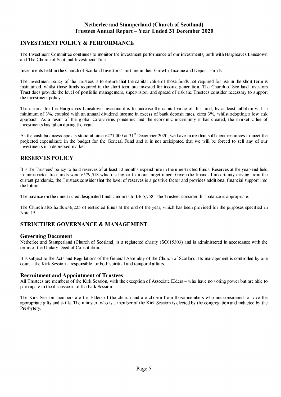## **INVESTMENT POLICY & PERFORMANCE**

The Investment Committee continues to monitor the investment performance of our investments, both with Hargreaves Lansdown and The Church of Scotland Investment Trust.

Investments held in the Church of Scotland Investors Trust are in their Growth, Income and Deposit Funds.

The investment policy of the Trustees is to ensure that the capital value of those funds not required for use in the short term is maintained, whilst those funds required in the short term are invested for income generation. The Church of Scotland Investors Trust does provide the level of portfolio management, supervision, and spread of risk the Trustees consider necessary to support the investment policy.

The criteria for the Hargreaves Lansdown investment is to increase the capital value of this fund, by at least inflation with a minimum of 3%, coupled with an annual dividend income in excess of bank deposit rates, circa 3%, whilst adopting a low risk approach. As a result of the global coronavirus pandemic and the economic uncertainty it has created, the market value of investments has fallen during the year.

As the cash balances/deposits stood at circa  $£271,000$  at  $31<sup>st</sup>$  December 2020, we have more than sufficient resources to meet the projected expenditure in the budget for the General Fund and it is not anticipated that we will be forced to sell any of our investments in a depressed market.

#### **RESERVES POLICY**

It is the Trustees' policy to hold reserves of at least 12 months expenditure in the unrestricted funds. Reserves at the year-end held in unrestricted free funds were £579,518 which is higher than our target range. Given the financial uncertainty arising from the current pandemic, the Trustees consider that the level of reserves is a positive factor and provides additional financial support into the future.

The balance on the unrestricted designated funds amounts to £465,758. The Trustees consider this balance is appropriate.

The Church also holds £46,225 of restricted funds at the end of the year, which has been provided for the purposes specified in Note 15.

#### **STRUCTURE GOVERNANCE & MANAGEMENT**

#### **Governing Document**

Netherlee and Stamperland (Church of Scotland) is a registered charity (SC015303) and is administered in accordance with the terms of the Unitary Deed of Constitution.

It is subject to the Acts and Regulations of the General Assembly of the Church of Scotland. Its management is controlled by one court - the Kirk Session - responsible for both spiritual and temporal affairs.

#### **Recruitment and Appointment of Trustees**

All Trustees are members of the Kirk Session, with the exception of Associate Elders - who have no voting power but are able to participate in the discussions of the Kirk Session.

The Kirk Session members are the Elders of the church and are chosen from those members who are considered to have the appropriate gifts and skills. The minister, who is a member of the Kirk Session is elected by the congregation and inducted by the Presbytery.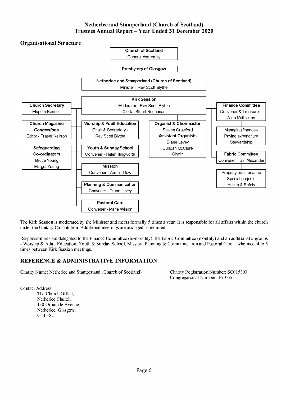

The Kirk Session is moderated by the Minister and meets formally 5 times a year. It is responsible for all affairs within the church under the Unitary Constitution. Additional meetings are arranged as required.

Responsibilities are delegated to the Finance Committee (bi-monthly), the Fabric Committee (monthly) and an additional 5 groups - Worship & Adult Education, Youth & Sunday School, Mission, Planning & Communication and Pastoral Care - who meet 4 to 5 times between Kirk Session meetings.

# **REFERENCE & ADMINISTRATIVE INFORMATION**

Charity Name: Netherlee and Stamperland (Church of Scotland) Charity Registration Number: SC015303

Congregational Number: 161065

Contact Address

The Church Office, Netherlee Church, 130 Ormonde Avenue, Netherlee, Glasgow, G44 3SL.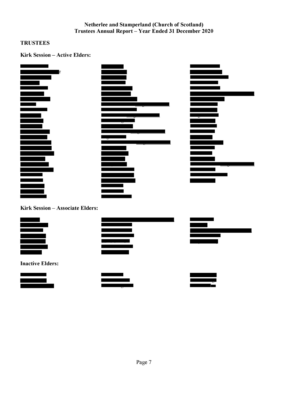# **TRUSTEES**

**Kirk Session - Active Elders:** 









**Inactive Elders:** 



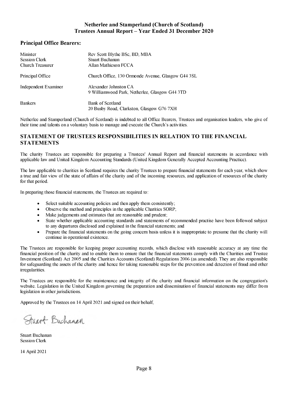## **Principal Office Bearers:**

| Minister<br><b>Session Clerk</b><br><b>Church Treasurer</b> | Rev Scott Blythe BSc, BD, MBA<br>Stuart Buchanan<br>Allan Mathieson FCCA |
|-------------------------------------------------------------|--------------------------------------------------------------------------|
| Principal Office                                            | Church Office, 130 Ormonde Avenue, Glasgow G44 3SL                       |
| <b>Independent Examiner</b>                                 | Alexander Johnston CA<br>9 Williamwood Park, Netherlee, Glasgow G44 3TD  |
| <b>Bankers</b>                                              | Bank of Scotland<br>20 Busby Road, Clarkston, Glasgow G76 7XH            |

Netherlee and Stamperland (Church of Scotland) is indebted to all Office Bearers, Trustees and organisation leaders, who give of their time and talents on a voluntary basis to manage and execute the Church's activities.

## **STATEMENT OF TRUSTEES RESPONSIBILITIES IN RELATION TO THE FINANCIAL STATEMENTS**

The charity Trustees are responsible for preparing a Trustees' Annual Report and financial statements in accordance with applicable law and United Kingdom Accounting Standards (United Kingdom Generally Accepted Accounting Practice).

The law applicable to charities in Scotland requires the charity Trustees to prepare financial statements for each year, which show a true and fair view of the state of affairs of the charity and of the incoming resources, and application of resources of the charity for that period.

In preparing those financial statements, the Trustees are required to:

- Select suitable accounting policies and then apply them consistently;
- Observe the method and principles in the applicable Charities SORP;
- Make judgements and estimates that are reasonable and prudent;
- State whether applicable accounting standards and statements of recommended practise have been followed subject to any departures disclosed and explained in the financial statements; and
- Prepare the financial statements on the going concern basis unless it is inappropriate to presume that the charity will continue in operational existence.

The Trustees are responsible for keeping proper accounting records, which disclose with reasonable accuracy at any time the financial position of the charity and to enable them to ensure that the financial statements comply with the Charities and Trustee Investment (Scotland) Act 2005 and the Charities Accounts (Scotland) Regulations 2006 (as amended). They are also responsible for safeguarding the assets of the charity and hence for taking reasonable steps for the prevention and detection of fraud and other irregularities.

The Trustees are responsible for the maintenance and integrity of the charity and financial information on the congregation's website. Legislation in the United Kingdom governing the preparation and dissemination of financial statements may differ from legislation in other jurisdictions.

Approved by the Trustees on 14 April 2021 and signed on their behalf,

Friart Buchanan

Stuart Buchanan Session Clerk

14 April 2021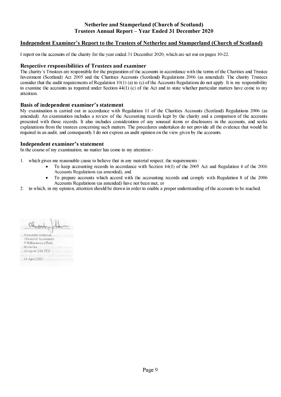# **Independent Examiner's Report to the Trustees of Netherlee and Stamperland (Church of Scotland)**

I report on the accounts of the charity for the year ended 31 December 2020, which are set out on pages 10-22.

#### **Respective responsibilities of Trustees and examiner**

The charity's Trustees are responsible for the preparation of the accounts in accordance with the terms of the Charities and Trustee Investment (Scotland) Act 2005 and the Charities Accounts (Scotland) Regulations 2006 (as amended). The charity Trustees consider that the audit requirements of Regulation  $10(1)$  (a) to (c) of the Accounts Regulations do not apply. It is my responsibility to examine the accounts as required under Section 44(1) (c) of the Act and to state whether particular matters have come to my attention.

#### **Basis of independent examiner's statement**

My examination is carried out in accordance with Regulation 11 of the Charities Accounts (Scotland) Regulations 2006 (as amended). An examination includes a review of the Accounting records kept by the charity and a comparison of the accounts presented with those records. It also includes consideration of any unusual items or disclosures in the accounts, and seeks explanations from the trustees concerning such matters. The procedures undertaken do not provide all the evidence that would be required in an audit, and consequently I do not express an audit opinion on the view given by the accounts.

#### **Independent examiner's statement**

In the course of my examination, no matter has come to my attention:-

- 1. which gives me reasonable cause to believe that in any material respect, the requirements :
	- To keep accounting records in accordance with Section 44(1) of the 2005 Act and Regulation 4 of the 2006 Accounts Regulations (as amended), and
	- To prepare accounts which accord with the accounting records and comply with Regulation 8 of the 2006 Accounts Regulations (as amended) have not been met, or
- 2. to which, in my opinion, attention should be drawn in order to enable a proper understanding of the accounts to be reached.

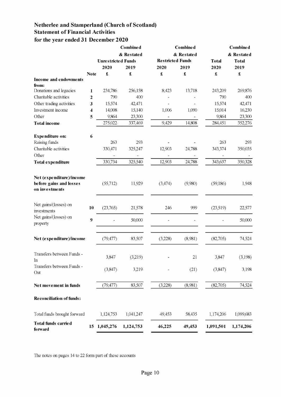# Netherlee and Stamperland (Church of Scotland) **Statement of Financial Activities** for the year ended 31 December 2020

|                                                                       |                         |           | Combined                                             |         | Combined   |                      | <b>Combined</b>        |  |
|-----------------------------------------------------------------------|-------------------------|-----------|------------------------------------------------------|---------|------------|----------------------|------------------------|--|
|                                                                       |                         |           | & Restated                                           |         | & Restated | & Restated           |                        |  |
|                                                                       |                         |           | <b>Restricted Funds</b><br><b>Unrestricted Funds</b> |         |            | <b>Total</b>         | <b>Total</b>           |  |
|                                                                       |                         | 2020      | 2019                                                 | 2020    | 2019       | 2020                 | 2019                   |  |
|                                                                       | <b>Note</b>             | £         | $\pmb{\mathfrak{L}}$                                 | £       | £          | $\pmb{\mathfrak{L}}$ | $\pmb{\pmb{\epsilon}}$ |  |
| Income and endowments                                                 |                         |           |                                                      |         |            |                      |                        |  |
| from:                                                                 |                         |           |                                                      |         |            |                      |                        |  |
| Donations and legacies                                                | $\mathbf{1}$            | 234,786   | 256,158                                              | 8,423   | 13,718     | 243,209              | 269,876                |  |
| Charitable activities                                                 | 2                       | 790       | 400                                                  |         |            | 790                  | 400                    |  |
| Other trading activities                                              | 3                       | 15,574    | 42,471                                               |         |            | 15,574               | 42,471                 |  |
| Investment income                                                     | $\overline{\mathbf{4}}$ | 14,008    | 15,140                                               | 1,006   | 1,090      | 15,014               | 16,230                 |  |
| Other                                                                 | 5                       | 9,864     | 23,300                                               |         |            | 9,864                | 23,300                 |  |
| <b>Total income</b>                                                   |                         | 275,022   | 337,469                                              | 9,429   | 14,808     | 284,451              | 352,276                |  |
| <b>Expenditure on:</b>                                                | 6                       |           |                                                      |         |            |                      |                        |  |
| Raising funds                                                         |                         | 263       | 293                                                  |         |            | 263                  | 293                    |  |
| Charitable activities                                                 |                         | 330,471   | 325,247                                              | 12,903  | 24,788     | 343,374              | 350,035                |  |
| Other                                                                 |                         |           |                                                      |         |            |                      |                        |  |
| <b>Total expenditure</b>                                              |                         | 330,734   | 325,540                                              | 12,903  | 24,788     | 343,637              | 350,328                |  |
| Net (expenditure)/income<br>before gains and losses<br>on investments |                         | (55,712)  | 11,929                                               | (3,474) | (9,980)    | (59,186)             | 1,948                  |  |
| Net gains/(losses) on<br>investments                                  | 10                      | (23,765)  | 21,578                                               | 246     | 999        | (23,519)             | 22,577                 |  |
| Net gains/(losses) on<br>property                                     | 9                       |           | 50,000                                               |         |            |                      | 50,000                 |  |
| Net (expenditure)/income                                              |                         | (79, 477) | 83,507                                               | (3,228) | (8,981)    | (82,705)             | 74,524                 |  |
| Transfers between Funds -<br>In                                       |                         | 3,847     | (3,219)                                              |         | 21         | 3,847                | (3,198)                |  |
| Transfers between Funds -<br>Out                                      |                         | (3,847)   | 3,219                                                |         | (21)       | (3,847)              | 3,198                  |  |
| Net movement in funds                                                 |                         | (79, 477) | 83,507                                               | (3,228) | (8,981)    | (82,705)             | 74,524                 |  |
| <b>Reconciliation of funds:</b>                                       |                         |           |                                                      |         |            |                      |                        |  |
| Total funds brought forward                                           |                         | 1,124,753 | 1,041,247                                            | 49,453  | 58,435     | 1,174,206            | 1,099,683              |  |
| Total funds carried<br>forward                                        | 15                      | 1,045,276 | 1,124,753                                            | 46,225  | 49,453     | 1,091,501            | 1,174,206              |  |

The notes on pages 14 to 22 form part of these accounts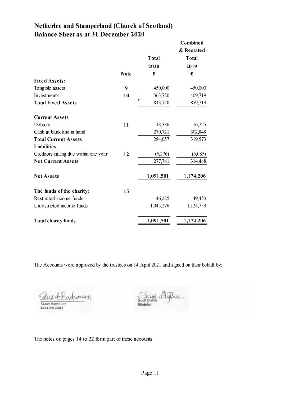# **Netherlee and Stamperland (Church of Scotland) Balance Sheet as at 31 December 2020**

|                                       |             |              | Combined     |
|---------------------------------------|-------------|--------------|--------------|
|                                       |             |              | & Restated   |
|                                       |             | <b>Total</b> | <b>Total</b> |
|                                       |             | 2020         | 2019         |
|                                       | <b>Note</b> | £            | £            |
| <b>Fixed Assets:</b>                  |             |              |              |
| Tangible assets                       | 9           | 450,000      | 450,000      |
| Investments                           | 10          | 363,720      | 409,719      |
| <b>Total Fixed Assets</b>             |             | 813,720      | 859,719      |
| <b>Current Assets</b>                 |             |              |              |
| Debtors                               | 11          | 13,336       | 16,725       |
| Cash at bank and in hand              |             | 270,721      | 302,848      |
| <b>Total Current Assets</b>           |             | 284,057      | 319,573      |
| <b>Liabilities</b>                    |             |              |              |
| Creditors falling due within one year | 12          | (6,276)      | (5,085)      |
| <b>Net Current Assets</b>             |             | 277,781      | 314,488      |
| <b>Net Assets</b>                     |             | 1,091,501    | 1,174,206    |
| The funds of the charity:             | 15          |              |              |
| Restricted income funds               |             | 46,225       | 49,453       |
| Unrestricted income funds             |             | 1,045,276    | 1,124,753    |
| <b>Total charity funds</b>            |             | 1,091,501    | 1,174,206    |

The Accounts were approved by the trustees on 14 April 2021 and signed on their behalf by:

dranan  $\mathcal{L}$ Sluan Buchanan<br>Session Clerk

 $24d$ Scott Blythe Minister

The notes on pages 14 to 22 form part of these accounts.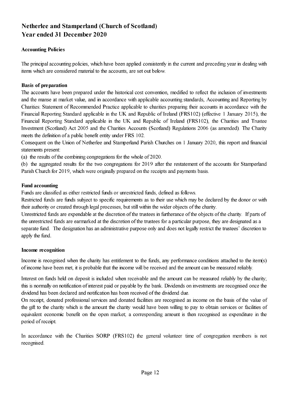# **Netherlee and Stamperland (Church of Scotland) Year ended 31 December 2020**

# **Accounting Policies**

The principal accounting policies, which have been applied consistently in the current and preceding year in dealing with items which are considered material to the accounts, are set out below.

# **Basis of preparation**

The accounts have been prepared under the historical cost convention, modified to reflect the inclusion of investments and the manse at market value, and in accordance with applicable accounting standards, Accounting and Reporting by Charities: Statement of Recommended Practice applicable to charities preparing their accounts in accordance with the Financial Reporting Standard applicable in the UK and Republic of Ireland (FRS102) (effective 1 January 2015), the Financial Reporting Standard applicable in the UK and Republic of Ireland (FRS102), the Charities and Trustee Investment (Scotland) Act 2005 and the Charities Accounts (Scotland) Regulations 2006 (as amended). The Charity meets the definition of a public benefit entity under FRS 102.

Consequent on the Union of Netherlee and Stamperland Parish Churches on 1 January 2020, this report and financial statements present:

(a) the results of the combining congregations for the whole of 2020.

(b) the aggregated results for the two congregations for 2019 after the restatement of the accounts for Stamperland Parish Church for 2019, which were originally prepared on the receipts and payments basis.

# **Fund accounting**

Funds are classified as either restricted funds or unrestricted funds, defined as follows.

Restricted funds are funds subject to specific requirements as to their use which may be declared by the donor or with their authority or created through legal processes, but still within the wider objects of the charity.

Unrestricted funds are expendable at the discretion of the trustees in furtherance of the objects of the charity. If parts of the unrestricted funds are earmarked at the discretion of the trustees for a particular purpose, they are designated as a separate fund. The designation has an administrative purpose only and does not legally restrict the trustees' discretion to apply the fund.

#### **Income recognition**

Income is recognised when the charity has entitlement to the funds, any performance conditions attached to the item(s) of income have been met, it is probable that the income will be received and the amount can be measured reliably.

Interest on funds held on deposit is included when receivable and the amount can be measured reliably by the charity; this is normally on notification of interest paid or payable by the bank. Dividends on investments are recognised once the dividend has been declared and notification has been received of the dividend due.

On receipt, donated professional services and donated facilities are recognised as income on the basis of the value of the gift to the charity which is the amount the charity would have been willing to pay to obtain services or facilities of equivalent economic benefit on the open market; a corresponding amount is then recognised as expenditure in the period of receipt.

In accordance with the Charities SORP (FRS102) the general volunteer time of congregation members is not recognised.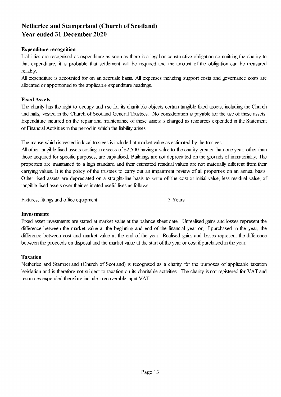# **Netherlee and Stamperland (Church of Scotland) Year ended 31 December 2020**

# **Expenditure recognition**

Liabilities are recognised as expenditure as soon as there is a legal or constructive obligation committing the charity to that expenditure, it is probable that settlement will be required and the amount of the obligation can be measured reliably.

All expenditure is accounted for on an accruals basis. All expenses including support costs and governance costs are allocated or apportioned to the applicable expenditure headings.

# **Fixed Assets**

The charity has the right to occupy and use for its charitable objects certain tangible fixed assets, including the Church and halls, vested in the Church of Scotland General Trustees. No consideration is payable for the use of these assets. Expenditure incurred on the repair and maintenance of these assets is charged as resources expended in the Statement of Financial Activities in the period in which the liability arises.

The manse which is vested in local trustees is included at market value as estimated by the trustees.

All other tangible fixed assets costing in excess of £2,500 having a value to the charity greater than one year, other than those acquired for specific purposes, are capitalised. Buildings are not depreciated on the grounds of immateriality. The properties are maintained to a high standard and their estimated residual values are not materially different from their carrying values. It is the policy of the trustees to carry out an impairment review of all properties on an annual basis. Other fixed assets are depreciated on a straight-line basis to write off the cost or initial value, less residual value, of tangible fixed assets over their estimated useful lives as follows:

Fixtures, fittings and office equipment 5 Years

#### **Investments**

Fixed asset investments are stated at market value at the balance sheet date. Unrealised gains and losses represent the difference between the market value at the beginning and end of the financial year or, if purchased in the year, the difference between cost and market value at the end of the year. Realised gains and losses represent the difference between the proceeds on disposal and the market value at the start of the year or cost if purchased in the year.

#### **Taxation**

Netherlee and Stamperland (Church of Scotland) is recognised as a charity for the purposes of applicable taxation legislation and is therefore not subject to taxation on its charitable activities. The charity is not registered for VAT and resources expended therefore include irrecoverable input VAT.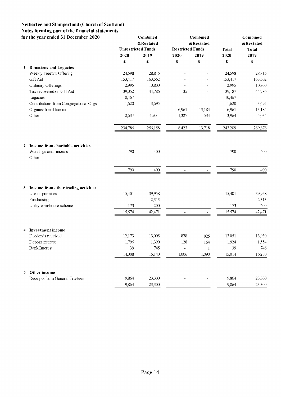# **Netherlee and Stamperland (Church of Scotland) Notes forming part of the financial statements**

| for the year ended 31 December 2020                       |                           | Combined<br>&Restated |                          | Combined<br>&Restated |              | Combined<br>&Restated |
|-----------------------------------------------------------|---------------------------|-----------------------|--------------------------|-----------------------|--------------|-----------------------|
|                                                           | <b>Unrestricted Funds</b> |                       | <b>Restricted Funds</b>  |                       | <b>Total</b> | <b>Total</b>          |
|                                                           | 2020                      | 2019                  | 2020                     | 2019                  | 2020         | 2019                  |
|                                                           | £                         | $\pounds$             | £                        | £                     | $\pounds$    | £                     |
| 1 Donations and Legacies                                  |                           |                       |                          |                       |              |                       |
| Weekly Freewill Offering                                  | 24,598                    | 28,815                |                          |                       | 24,598       | 28,815                |
| Gift Aid                                                  | 153,417                   | 163,562               |                          |                       | 153,417      | 163,562               |
| Ordinary Offerings                                        | 2,995                     | 10,800                |                          |                       | 2,995        | 10,800                |
| Tax recovered on Gift Aid                                 | 39,052                    | 44,786                | 135                      |                       | 39,187       | 44,786                |
| Legacies                                                  | 10,467                    |                       |                          |                       | 10,467       |                       |
| Contributions from Congregational Orgs                    | 1,620                     | 3,695                 | $\overline{a}$           | ÷,                    | 1,620        | 3,695                 |
| Organisational Income                                     |                           |                       | 6,961                    | 13,184                | 6,961        | 13,184                |
| Other                                                     | 2,637                     | 4,500                 | 1,327                    | 534                   | 3,964        | 5,034                 |
|                                                           | 234,786                   | 256,158               | 8,423                    | 13,718                | 243,209      | 269,876               |
|                                                           |                           |                       |                          |                       |              |                       |
| Income from charitable activities<br>$\mathbf{2}$         |                           |                       |                          |                       |              |                       |
| Weddings and funerals                                     | 790                       | 400                   |                          |                       | 790          | 400                   |
| Other                                                     |                           |                       |                          |                       |              |                       |
|                                                           | 790                       | 400                   | $\overline{\phantom{a}}$ |                       | 790          | 400                   |
|                                                           |                           |                       |                          |                       |              |                       |
| 3 Income from other trading activities<br>Use of premises |                           |                       |                          |                       |              |                       |
| Fundraising                                               | 15,401                    | 39,958<br>2,313       |                          |                       | 15,401       | 39,958<br>2,313       |
| Utility warehouse scheme                                  | 173                       | 200                   |                          |                       | 173          | 200                   |
|                                                           |                           |                       |                          |                       |              |                       |
|                                                           | 15,574                    | 42,471                | $\overline{\phantom{0}}$ | $\blacksquare$        | 15,574       | 42,471                |
| Investment income<br>$\overline{\mathbf{4}}$              |                           |                       |                          |                       |              |                       |
| Dividends received                                        | 12,173                    | 13,005                | 878                      | 925                   | 13,051       | 13,930                |
| Deposit interest                                          | 1,796                     | 1,390                 | 128                      | 164                   | 1,924        | 1,554                 |
| <b>Bank Interest</b>                                      | 39                        | 745                   |                          | $\mathbf 1$           | 39           | 746                   |
|                                                           | 14,008                    | 15,140                | 1,006                    | 1,090                 | 15,014       | 16,230                |
|                                                           |                           |                       |                          |                       |              |                       |
| Other income<br>5.<br>Receipts from General Trustees      | 9,864                     | 23,300                |                          |                       | 9,864        | 23,300                |
|                                                           | 9,864                     | 23,300                |                          |                       | 9,864        | 23,300                |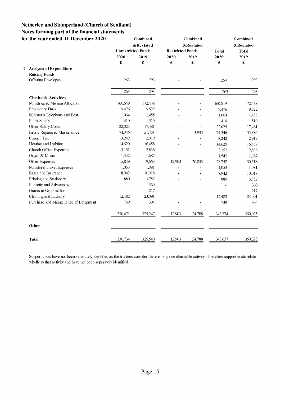# **Netherlee and Stamperland (Church of Scotland) Notes forming part of the financial statements**

|   | for the year ended 31 December 2020   |                           | Combine d |                         | <b>Combined</b>              |                      | Combine d     |
|---|---------------------------------------|---------------------------|-----------|-------------------------|------------------------------|----------------------|---------------|
|   |                                       |                           | &Restated |                         | &Restated                    |                      | $\&$ Restated |
|   |                                       | <b>Unrestricted Funds</b> |           | <b>Restricted Funds</b> |                              | <b>Total</b>         | <b>Total</b>  |
|   |                                       | 2020                      | 2019      | 2020                    | 2019                         | 2020                 | 2019          |
|   |                                       | £                         | £         | £                       | £                            | $\pmb{\mathfrak{L}}$ | £             |
| 6 | Analysis of Expenditure               |                           |           |                         |                              |                      |               |
|   | <b>Raising Funds</b>                  |                           |           |                         |                              |                      |               |
|   | Offering Envelopes                    | 263                       | 293       |                         |                              | 263                  | 293           |
|   |                                       | 263                       | 293       | $\blacksquare$          | $\qquad \qquad \blacksquare$ | 263                  | 293           |
|   | <b>Charitable Activities</b>          |                           |           |                         |                              |                      |               |
|   | Ministries & Mission Allocation       | 160,649                   | 172,438   |                         | $\qquad \qquad \blacksquare$ | 160,649              | 172,438       |
|   | Presbytery Dues                       | 9,476                     | 9,522     |                         |                              | 9,476                | 9,522         |
|   | Minister's Telephone and Post         | 1,064                     | 1.455     |                         |                              | 1,064                | 1,455         |
|   | Pulpit Supply                         | 410                       | 510       |                         |                              | 410                  | 510           |
|   | Other Salary Costs                    | 22,025                    | 17,481    |                         | $\overline{\phantom{a}}$     | 22,025               | 17,481        |
|   | Fabric Repairs & Maintenance          | 74,346                    | 51,451    |                         | 3,935                        | 74,346               | 55,386        |
|   | Council Tax                           | 3,242                     | 2,919     |                         |                              | 3,242                | 2,919         |
|   | Heating and Lighting                  | 14,620                    | 16,458    |                         |                              | 14,620               | 16,458        |
|   | Church Office Expenses                | 3,152                     | 2,838     |                         |                              | 3,152                | 2,838         |
|   | Organ & Music                         | 1,542                     | 1,687     |                         |                              | 1,542                | 1,687         |
|   | Other Expenses                        | 15,849                    | 9,665     | 12,903                  | 20,853                       | 28,752               | 30,518        |
|   | Minister's Travel Expenses            | 1,053                     | 1,081     |                         |                              | 1,053                | 1,081         |
|   | Rates and Insurance                   | 8,942                     | 10,018    | $\overline{a}$          | $\overline{a}$               | 8,942                | 10,018        |
|   | Printing and Stationery               | 880                       | 3,752     |                         |                              | 880                  | 3,752         |
|   | Publicity and Advertising             |                           | 360       |                         |                              |                      | 360           |
|   | Grants to Organisations               |                           | 217       |                         |                              |                      | 217           |
|   | Cleaning and Laundry                  | 12,482                    | 23,091    |                         |                              | 12,482               | 23,091        |
|   | Purchase and Maintenance of Equipment | 739                       | 304       |                         |                              | 739                  | 304           |
|   |                                       | 330,471                   | 325,247   | 12,903                  | 24,788                       | 343,374              | 350,035       |
|   | Other                                 |                           |           |                         |                              |                      |               |
|   | <b>Total</b>                          | 330,734                   | 325,540   | 12,903                  | 24,788                       | 343,637              | 350,328       |
|   |                                       |                           |           |                         |                              |                      |               |

Support costs have not been separately identified as the trustees consider there is only one charitable activity. Therefore support costs relate wholly to that activity and have not been separately identified.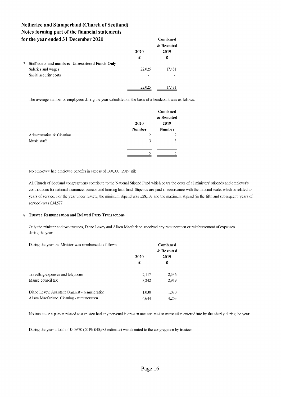|   | for the year ended 31 December 2020                    |        | Combined   |
|---|--------------------------------------------------------|--------|------------|
|   |                                                        |        | & Restated |
|   |                                                        | 2020   | 2019       |
|   |                                                        | £      | £          |
| 7 | <b>Staff costs and numbers Unrestricted Funds Only</b> |        |            |
|   | Salaries and wages                                     | 22,025 | 17.481     |
|   | Social security costs                                  |        |            |
|   |                                                        |        |            |
|   |                                                        | 22,025 | 17.481     |

The average number of employees during the year calculated on the basis of a headcount was as follows:

|                           |               | Combined<br>& Restated |
|---------------------------|---------------|------------------------|
|                           | 2020          | 2019                   |
|                           | <b>Number</b> | <b>Number</b>          |
| Administration & Cleaning | 2             |                        |
| Music staff               | 3             |                        |
|                           |               |                        |

No employee had employee benefits in excess of £60,000 (2019: nil)

All Church of Scotland congregations contribute to the National Stipend Fund which bears the costs of all ministers' stipends and employer's contributions for national insurance, pension and housing loan fund. Stipends are paid in accordance with the national scale, which is related to years of service. For the year under review, the minimum stipend was £28,137 and the maximum stipend (in the fifth and subsequent years of service) was £34,577.

#### **8 Trustee Remuneration and Related Party Transactions**

Only the minister and two trustees, Diane Levey and Alison Macfarlane, received any remuneration or reimbursement of expenses during the year.

| During the year the Minister was reimbursed as follows. |       | Combined   |
|---------------------------------------------------------|-------|------------|
|                                                         |       | & Restated |
|                                                         | 2020  | 2019       |
|                                                         | £     | £          |
| Travelling expenses and telephone                       | 2,117 | 2,536      |
| Manse council tax                                       | 3.242 | 2.919      |
| Diane Levey, Assistant Organist - remuneration          | 1.030 | 1.030      |
| Alison Macfarlane, Cleaning - remuneration              | 4.644 | 4.263      |

No trustee or a person related to a trustee had any personal interest in any contract or transaction entered into by the charity during the year.

During the year a total of £40,670 (2019: £40,985 estimate) was donated to the congregation by trustees.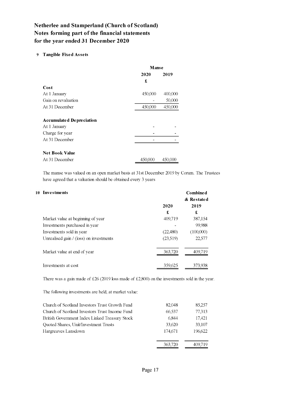#### **9 Tangible Fixed Assets**

|                                 | <b>Manse</b> |         |
|---------------------------------|--------------|---------|
|                                 | 2020         | 2019    |
|                                 | £            |         |
| Cost                            |              |         |
| At 1 January                    | 450,000      | 400,000 |
| Gain on revaluation             |              | 50,000  |
| At 31 December                  | 450,000      | 450,000 |
|                                 |              |         |
| <b>Accumulated Depreciation</b> |              |         |
| At 1 January                    |              |         |
| Charge for year                 |              |         |
| At 31 December                  |              |         |
|                                 |              |         |
| <b>Net Book Value</b>           |              |         |
| At 31 December                  | 450,000      | 450,000 |

The manse was valued on an open market basis at 31st December 2019 by Corum. The Trustees have agreed that a valuation should be obtained every 3 years

| 10 | <b>Investments</b>                      |          | <b>Combined</b> |
|----|-----------------------------------------|----------|-----------------|
|    |                                         |          | & Restated      |
|    |                                         | 2020     | 2019            |
|    |                                         | £        | £               |
|    | Market value at beginning of year       | 409,719  | 387,154         |
|    | Investments purchased in year           |          | 99,988          |
|    | Investments sold in year                | (22,480) | (100,000)       |
|    | Unrealised gain / (loss) on investments | (23,519) | 22,577          |
|    | Market value at end of year             | 363,720  |                 |
|    | Investments at cost                     | 359,625  | 373,938         |

There was a gain made of £26 (2019 loss made of £2,800) on the investments sold in the year.

The following investments are held, at market value:

| Church of Scotland Investors Trust Growth Fund | 82,048  | 85,257  |
|------------------------------------------------|---------|---------|
| Church of Scotland Investors Trust Income Fund | 66,537  | 77,313  |
| British Government Index Linked Treasury Stock | 6.844   | 17,421  |
| Quoted Shares, Unit/Investment Trusts          | 33,620  | 33,107  |
| Hargreaves Lansdown                            | 174,671 | 196.622 |
|                                                | 363,720 | 409.719 |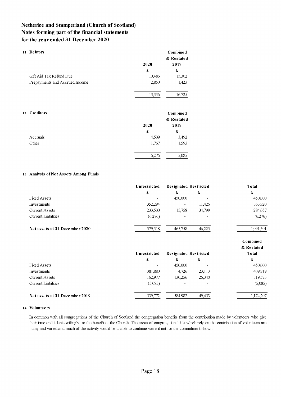| 11 | <b>Debtors</b><br>Gift Aid Tax Refund Due<br>Prepayments and Accrued Income | 2020<br>£<br>10,486<br>2,850<br>13,336 | Combined<br>& Restated<br>2019<br>£<br>15,302<br>1,423<br>16,725 |
|----|-----------------------------------------------------------------------------|----------------------------------------|------------------------------------------------------------------|
| 12 | <b>Creditors</b>                                                            | 2020                                   | <b>Combined</b><br>& Restated<br>2019                            |
|    |                                                                             | £                                      | £                                                                |
|    | Accruals                                                                    | 4,509                                  | 3,492                                                            |
|    | Other                                                                       | 1,767                                  | 1,593                                                            |
|    |                                                                             | 6,276                                  | 5,085                                                            |

#### 13 Analysis of Net Assets Among Funds

|                                | Unrestricted | Designated Restricted |                          | Total                  |
|--------------------------------|--------------|-----------------------|--------------------------|------------------------|
|                                | £            | £                     | £                        | £                      |
| <b>Fixed Assets</b>            |              | 450,000               |                          | 450,000                |
| Investments                    | 352,294      |                       | 11,426                   | 363,720                |
| <b>Current Assets</b>          | 233,500      | 15,758                | 34,799                   | 284,057                |
| <b>Current Liabilities</b>     | (6,276)      |                       | $\overline{\phantom{0}}$ | (6,276)                |
| Net assets at 31 December 2020 | 579,518      | 465,758               | 46,225                   | 1,091,501              |
|                                |              |                       |                          | Combined<br>& Restated |
|                                | Unrestricted | Designated Restricted |                          | Total                  |
|                                | £            | £                     | £                        | £                      |
| <b>Fixed Assets</b>            |              | 450,000               |                          | 450,000                |
| Investments                    | 381,880      | 4,726                 | 23,113                   | 409,719                |
| <b>Current Assets</b>          | 162,977      | 130,256               | 26,340                   | 319,573                |
| Current Liabilities            | (5,085)      |                       |                          | (5,085)                |
| Net assets at 31 December 2019 | 539,772      | 584,982               | 49,453                   | 1,174,207              |

#### **14 Volunteers**

In common with all congregations of the Church of Scotland the congregation benefits from the contribution made by volunteers who give their time and talents willingly for the benefit of the Church. The areas of congregational life which rely on the contribution of volunteers are many and varied and much of the activity would be unable to continue were it not for the commitment shown.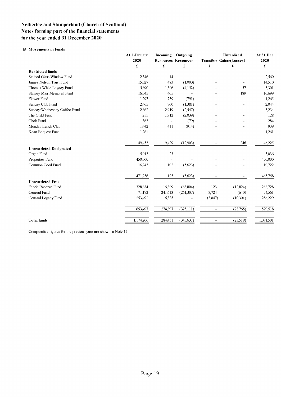#### **15 Movements in Funds**

|                                | At 1 January | Incoming | Outgoing                   | <b>Unrealised</b><br><b>Transfers Gains/(Losses)</b> |           | At 31 Dec<br>2020 |
|--------------------------------|--------------|----------|----------------------------|------------------------------------------------------|-----------|-------------------|
|                                | 2020         |          | <b>Resources Resources</b> |                                                      |           |                   |
|                                | £            | £        | £                          | £                                                    | £         | £                 |
| <b>Restricted funds</b>        |              |          |                            |                                                      |           |                   |
| Stained Glass Window Fund      | 2.546        | 14       |                            |                                                      |           | 2,560             |
| James Nelson Trust Fund        | 15,027       | 483      | (1,000)                    |                                                      |           | 14,510            |
| Thomas White Legacy Fund       | 5,890        | 1,506    | (4,152)                    |                                                      | 57        | 3,301             |
| Stanley Mair Memorial Fund     | 16,045       | 465      |                            |                                                      | 189       | 16,699            |
| Flower Fund                    | 1,297        | 759      | (791)                      |                                                      |           | 1,265             |
| Sunday Club Fund               | 2,465        | 960      | (1,381)                    |                                                      |           | 2,044             |
| Sunday/Wednesday Coffee Fund   | 2,862        | 2,919    | (2,547)                    |                                                      |           | 3,234             |
| The Guild Fund                 | 255          | 1,912    | (2,039)                    |                                                      |           | 128               |
| Choir Fund                     | 363          |          | (79)                       |                                                      |           | 284               |
| Monday Lunch Club              | 1,442        | 411      | (914)                      |                                                      |           | 939               |
| Kean Bequest Fund              | 1,261        |          |                            |                                                      |           | 1,261             |
|                                | 49,453       | 9,429    | (12,903)                   | $\overline{a}$                                       | 246       | 46,225            |
| <b>Unrestricted Designated</b> |              |          |                            |                                                      |           |                   |
| Organ Fund                     | 5,013        | 23       |                            |                                                      |           | 5,036             |
| Properties Fund                | 450,000      |          |                            |                                                      |           | 450,000           |
| Common Good Fund               | 16,243       | 102      | (5,623)                    |                                                      |           | 10,722            |
|                                | 471,256      | 125      | (5,623)                    | $\overline{a}$                                       |           | 465,758           |
| <b>Unrestricted Free</b>       |              |          |                            |                                                      |           |                   |
| Fabric Reserve Fund            | 328,834      | 16.399   | (63,804)                   | 123                                                  | (12, 824) | 268,728           |
| General Fund                   | 71,172       | 241,613  | (261, 307)                 | 3,724                                                | (640)     | 54,561            |
| General Legacy Fund            | 253,492      | 16,885   |                            | (3,847)                                              | (10,301)  | 256,229           |
|                                | 653,497      | 274,897  | (325,111)                  | $\overline{\phantom{a}}$                             | (23,765)  | 579,518           |
| <b>Total funds</b>             | 1,174,206    | 284,451  | (343, 637)                 |                                                      | (23,519)  | 1,091,501         |

Comparative figures for the previous year are shown in Note 17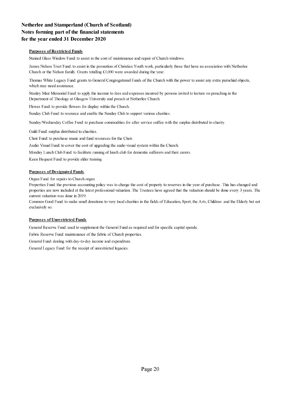#### **Purposes of Restricted Funds**

Stained Glass Window Fund: to assist in the cost of maintenance and repair of Church windows.

James Nelson Trust Fund: to assist in the promotion of Christian Youth work, particularly those that have an association with Netherlee Church or the Nelson family. Grants totalling £1,000 were awarded during the year.

Thomas White Legacy Fund: grants to General Congregational Funds of the Church with the power to assist any extra parochial objects, which may need assistance.

Stanley Mair Memorial Fund: to apply the income to fees and expenses incurred by persons invited to lecture on preaching in the Department of Theology at Glasgow University and preach at Netherlee Church.

Flower Fund: to provide flowers for display within the Church.

Sunday Club Fund: to resource and enable the Sunday Club to support various charities.

Sunday/Wednesday Coffee Fund: to purchase commodities for after service coffee with the surplus distributed to charity.

Guild Fund: surplus distributed to charities.

Choir Fund: to purchase music and fund resources for the Choir.

Audio Visual Fund: to cover the cost of upgrading the audio visual system within the Church.

Monday Lunch Club Fund: to facilitate running of lunch club for dementia sufferers and their carers.

Keen Bequest Fund: to provide elder training.

#### **Purposes of Designated Funds**

Organ Fund: for repairs to Church organ.

Properties Fund: the previous accounting policy was to charge the cost of property to reserves in the year of purchase. This has changed and properties are now included at the latest professional valuation. The Trustees have agreed that the valuation should be done every 3 years. The current valuation was done in 2019.

Common Good Fund: to make small donations to very local charities in the fields of Education, Sport, the Arts, Children and the Elderly but not exclusively so.

#### **Purposes of Unrestricted Funds**

General Reserve Fund: used to supplement the General Fund as required and for specific capital spends.

Fabric Reserve Fund: maintenance of the fabric of Church properties.

General Fund: dealing with day-to-day income and expenditure.

General Legacy Fund: for the receipt of unrestricted legacies.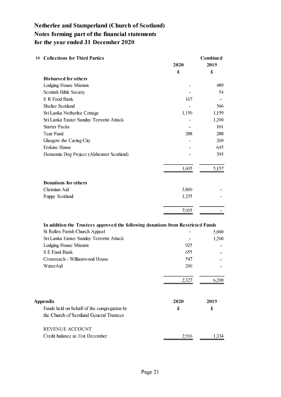| <b>16 Collections for Third Parties</b>                                         | 2020                 | <b>Combined</b><br>2019 |
|---------------------------------------------------------------------------------|----------------------|-------------------------|
|                                                                                 | £                    | $\pmb{\pmb{\pmb{\xi}}}$ |
| Disbursed for others                                                            |                      |                         |
| Lodging House Mission                                                           |                      | 489                     |
| Scottish Bible Society                                                          |                      | 54                      |
| E R Food Bank                                                                   | 167                  |                         |
| <b>Shelter Scotland</b>                                                         |                      | 566                     |
| Sri Lanka Netherlee Cottage                                                     | 1,150                | 1,159                   |
| Sri Lanka Easter Sunday Terrorist Attack                                        |                      | 1,200                   |
| <b>Starter Packs</b>                                                            |                      | 101                     |
| <b>Tear Fund</b>                                                                | 288                  | 288                     |
| Glasgow the Caring City                                                         |                      | 260                     |
| <b>Erskine Home</b>                                                             |                      | 645                     |
| Dementia Dog Project (Alzheimer Scotland)                                       |                      | 395                     |
|                                                                                 | 1,605                | 5,157                   |
| Donations for others                                                            |                      |                         |
| Christian Aid                                                                   | 5,800                |                         |
| Poppy Scotland                                                                  | 1,235                |                         |
|                                                                                 | 7,035                |                         |
| In addition the Trustees approved the following donations from Restricted Funds |                      |                         |
| St Rollox Parish Church Appeal                                                  |                      | 5,000                   |
| Sri Lanka Easter Sunday Terrorist Attack                                        |                      | 1,200                   |
| Lodging House Mission                                                           | 925                  |                         |
| S E Food Bank                                                                   | 655                  |                         |
| Crossreach - Williamwood House                                                  | 547                  |                         |
| WaterAid                                                                        | 200                  |                         |
|                                                                                 | 2,327                | 6,200                   |
|                                                                                 |                      |                         |
| <b>Appendix</b>                                                                 | 2020                 | 2019                    |
| Funds held on behalf of the congregation by                                     | $\pmb{\mathfrak{X}}$ | £                       |
| the Church of Scotland General Trustees                                         |                      |                         |
| REVENUE ACCOUNT                                                                 |                      |                         |
| Credit balance at 31st December                                                 | 2,916                | 1,334                   |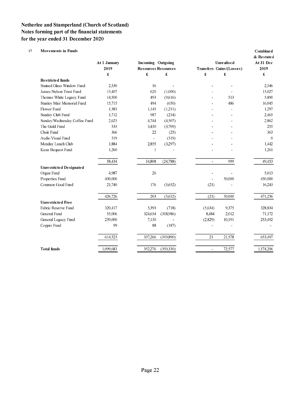#### **17 Movements in Funds Combined**

|                                | 2019<br>£ |                | <b>Resources Resources</b> |                | Unrealised<br>Transfers Gains/(Losses) | At 31 Dec<br>2019 |
|--------------------------------|-----------|----------------|----------------------------|----------------|----------------------------------------|-------------------|
|                                |           | £              | £                          | £              | £                                      | £                 |
| <b>Restricted funds</b>        |           |                |                            |                |                                        |                   |
| Stained Glass Window Fund      | 2,530     | 16             |                            |                |                                        | 2,546             |
| James Nelson Trust Fund        | 15,407    | 620            | (1,000)                    |                |                                        | 15,027            |
| Thomas White Legacy Fund       | 14,500    | 493            | (9,616)                    |                | 513                                    | 5,890             |
| Stanley Mair Memorial Fund     | 15,715    | 494            | (650)                      |                | 486                                    | 16,045            |
| Flower Fund                    | 1,383     | 1,145          | (1,231)                    |                |                                        | 1,297             |
| Sunday Club Fund               | 1,712     | 987            | (234)                      |                |                                        | 2,465             |
| Sunday/Wednesday Coffee Fund   | 2,625     | 4,744          | (4,507)                    |                |                                        | 2,862             |
| The Guild Fund                 | 533       | 3,430          | (3,709)                    |                |                                        | 255               |
| Choir Fund                     | 366       | 22             | (25)                       |                |                                        | 363               |
| Audio Visual Fund              | 519       | $\overline{a}$ | (519)                      |                |                                        | $\theta$          |
| Monday Lunch Club              | 1,884     | 2,855          | (3,297)                    |                |                                        | 1,442             |
| Kean Bequest Fund              | 1.260     | 1              |                            |                |                                        | 1,261             |
|                                | 58,434    | 14,808         | (24,788)                   | $\blacksquare$ | 999                                    | 49,453            |
| <b>Unrestricted Designated</b> |           |                |                            |                |                                        |                   |
| Organ Fund                     | 4.987     | 26             |                            |                |                                        | 5,013             |
| Properties Fund                | 400,000   |                |                            |                | 50,000                                 | 450,000           |
| Common Good Fund               | 21,740    | 176            | (5,652)                    | (21)           |                                        | 16,243            |
|                                | 426,726   | 203            | (5,652)                    | (21)           | 50,000                                 | 471,256           |
| <b>Unrestricted Free</b>       |           |                |                            |                |                                        |                   |
| Fabric Reserve Fund            | 320,417   | 5,393          | (718)                      | (5,634)        | 9,375                                  | 328,834           |
| General Fund                   | 55,006    | 324,654        | (318,986)                  | 8,484          | 2,012                                  | 71,172            |
| General Legacy Fund            | 239,000   | 7,130          |                            | (2,829)        | 10,191                                 | 253,492           |
| Copper Fund                    | 99        | 88             | (187)                      |                |                                        |                   |
|                                | 614,523   | 337,266        | (319,890)                  | 21             | 21,578                                 | 653,497           |
| <b>Total funds</b>             | 1,099,683 | 352,276        | (350, 330)                 | -              | 72,577                                 | 1,174,206         |